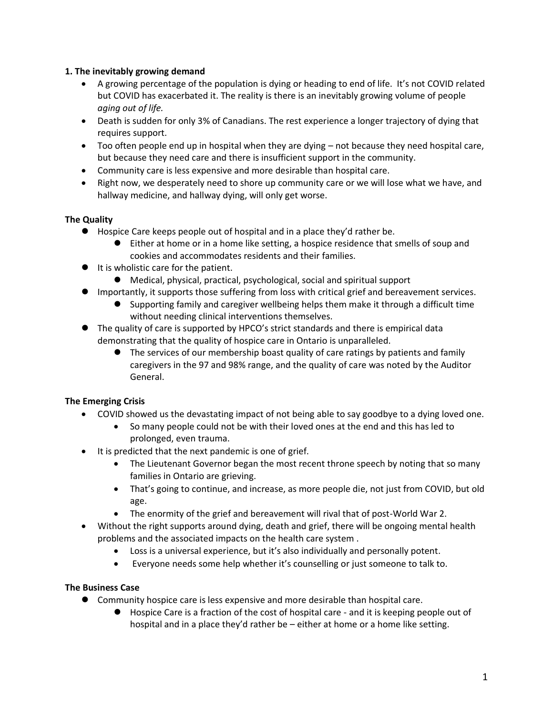### **1. The inevitably growing demand**

- A growing percentage of the population is dying or heading to end of life. It's not COVID related but COVID has exacerbated it. The reality is there is an inevitably growing volume of people *aging out of life.*
- Death is sudden for only 3% of Canadians. The rest experience a longer trajectory of dying that requires support.
- Too often people end up in hospital when they are dying not because they need hospital care, but because they need care and there is insufficient support in the community.
- Community care is less expensive and more desirable than hospital care.
- Right now, we desperately need to shore up community care or we will lose what we have, and hallway medicine, and hallway dying, will only get worse.

## **The Quality**

- Hospice Care keeps people out of hospital and in a place they'd rather be.
	- ⚫ Either at home or in a home like setting, a hospice residence that smells of soup and cookies and accommodates residents and their families.
- It is wholistic care for the patient.
	- Medical, physical, practical, psychological, social and spiritual support
- ⚫ Importantly, it supports those suffering from loss with critical grief and bereavement services.
	- ⚫ Supporting family and caregiver wellbeing helps them make it through a difficult time without needing clinical interventions themselves.
- The quality of care is supported by HPCO's strict standards and there is empirical data demonstrating that the quality of hospice care in Ontario is unparalleled.
	- The services of our membership boast quality of care ratings by patients and family caregivers in the 97 and 98% range, and the quality of care was noted by the Auditor General.

## **The Emerging Crisis**

- COVID showed us the devastating impact of not being able to say goodbye to a dying loved one.
	- So many people could not be with their loved ones at the end and this has led to prolonged, even trauma.
- It is predicted that the next pandemic is one of grief.
	- The Lieutenant Governor began the most recent throne speech by noting that so many families in Ontario are grieving.
	- That's going to continue, and increase, as more people die, not just from COVID, but old age.
	- The enormity of the grief and bereavement will rival that of post-World War 2.
- Without the right supports around dying, death and grief, there will be ongoing mental health problems and the associated impacts on the health care system .
	- Loss is a universal experience, but it's also individually and personally potent.
	- Everyone needs some help whether it's counselling or just someone to talk to.

## **The Business Case**

- ⚫ Community hospice care is less expensive and more desirable than hospital care.
	- ⚫ Hospice Care is a fraction of the cost of hospital care and it is keeping people out of hospital and in a place they'd rather be – either at home or a home like setting.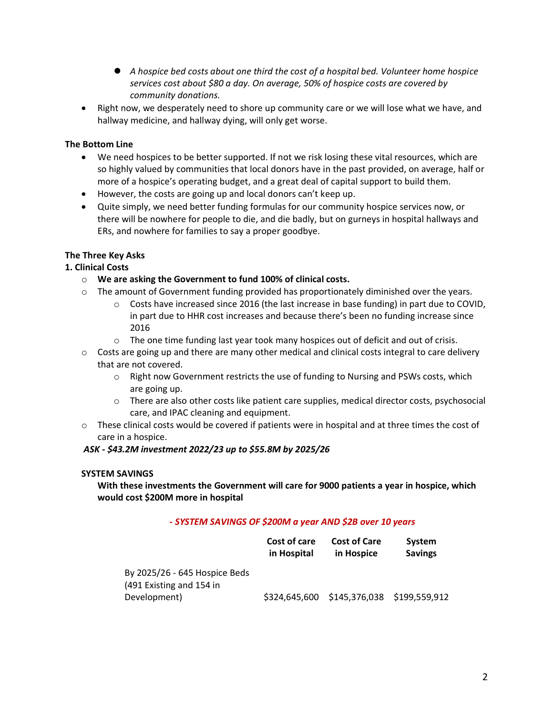- ⚫ *A hospice bed costs about one third the cost of a hospital bed. Volunteer home hospice services cost about \$80 a day. On average, 50% of hospice costs are covered by community donations.*
- Right now, we desperately need to shore up community care or we will lose what we have, and hallway medicine, and hallway dying, will only get worse.

### **The Bottom Line**

- We need hospices to be better supported. If not we risk losing these vital resources, which are so highly valued by communities that local donors have in the past provided, on average, half or more of a hospice's operating budget, and a great deal of capital support to build them.
- However, the costs are going up and local donors can't keep up.
- Quite simply, we need better funding formulas for our community hospice services now, or there will be nowhere for people to die, and die badly, but on gurneys in hospital hallways and ERs, and nowhere for families to say a proper goodbye.

# **The Three Key Asks**

## **1. Clinical Costs**

- o **We are asking the Government to fund 100% of clinical costs.**
- $\circ$  The amount of Government funding provided has proportionately diminished over the years.
	- $\circ$  Costs have increased since 2016 (the last increase in base funding) in part due to COVID, in part due to HHR cost increases and because there's been no funding increase since 2016
	- $\circ$  The one time funding last year took many hospices out of deficit and out of crisis.
- $\circ$  Costs are going up and there are many other medical and clinical costs integral to care delivery that are not covered.
	- $\circ$  Right now Government restricts the use of funding to Nursing and PSWs costs, which are going up.
	- o There are also other costs like patient care supplies, medical director costs, psychosocial care, and IPAC cleaning and equipment.
- $\circ$  These clinical costs would be covered if patients were in hospital and at three times the cost of care in a hospice.

#### *ASK - \$43.2M investment 2022/23 up to \$55.8M by 2025/26*

#### **SYSTEM SAVINGS**

**With these investments the Government will care for 9000 patients a year in hospice, which would cost \$200M more in hospital**

#### *- SYSTEM SAVINGS OF \$200M a year AND \$2B over 10 years*

|                                                           | Cost of care<br>in Hospital | <b>Cost of Care</b><br>in Hospice | System<br><b>Savings</b> |
|-----------------------------------------------------------|-----------------------------|-----------------------------------|--------------------------|
| By 2025/26 - 645 Hospice Beds<br>(491 Existing and 154 in |                             |                                   |                          |
| Development)                                              | \$324,645,600               | \$145,376,038 \$199,559,912       |                          |